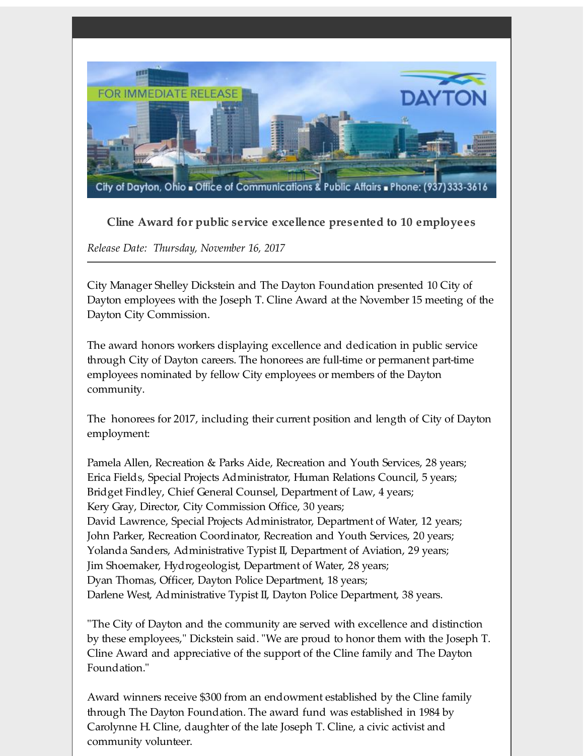

**Cline Award for public service excellence presented to 10 employees**

*Release Date: Thursday, November 16, 2017*

City Manager Shelley Dickstein and The Dayton Foundation presented 10 City of Dayton employees with the Joseph T. Cline Award at the November 15 meeting of the Dayton City Commission.

The award honors workers displaying excellence and dedication in public service through City of Dayton careers. The honorees are full-time or permanent part-time employees nominated by fellow City employees or members of the Dayton community.

The honorees for 2017, including their current position and length of City of Dayton employment:

Pamela Allen, Recreation & Parks Aide, Recreation and Youth Services, 28 years; Erica Fields, Special Projects Administrator, Human Relations Council, 5 years; Bridget Findley, Chief General Counsel, Department of Law, 4 years; Kery Gray, Director, City Commission Office, 30 years; David Lawrence, Special Projects Administrator, Department of Water, 12 years; John Parker, Recreation Coordinator, Recreation and Youth Services, 20 years; Yolanda Sanders, Administrative Typist II, Department of Aviation, 29 years; Jim Shoemaker, Hydrogeologist, Department of Water, 28 years; Dyan Thomas, Officer, Dayton Police Department, 18 years; Darlene West, Administrative Typist II, Dayton Police Department, 38 years.

"The City of Dayton and the community are served with excellence and distinction by these employees," Dickstein said. "We are proud to honor them with the Joseph T. Cline Award and appreciative of the support of the Cline family and The Dayton Foundation."

Award winners receive \$300 from an endowment established by the Cline family through The Dayton Foundation. The award fund was established in 1984 by Carolynne H. Cline, daughter of the late Joseph T. Cline, a civic activist and community volunteer.